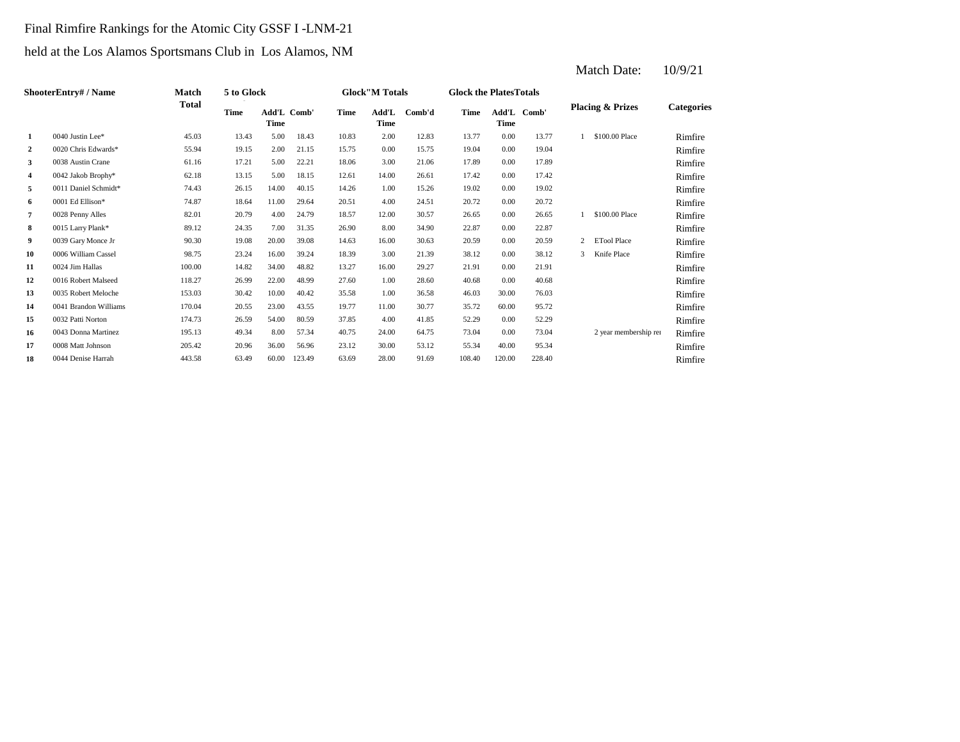## Final Rimfire Rankings for the Atomic City GSSF I -LNM-21

## held at the Los Alamos Sportsmans Club in Los Alamos, NM

|                  | ShooterEntry# / Name  | Match        | 5 to Glock  |                     |        |       | <b>Glock</b> "M Totals |        | <b>Glock the PlatesTotals</b> |             |             |   |                             |                   |
|------------------|-----------------------|--------------|-------------|---------------------|--------|-------|------------------------|--------|-------------------------------|-------------|-------------|---|-----------------------------|-------------------|
|                  |                       | <b>Total</b> | <b>Time</b> | Add'L Comb'<br>Time |        | Time  | Add'L<br>Time          | Comb'd | Time                          | <b>Time</b> | Add'L Comb' |   | <b>Placing &amp; Prizes</b> | <b>Categories</b> |
| 1                | $0040$ Justin Lee*    | 45.03        | 13.43       | 5.00                | 18.43  | 10.83 | 2.00                   | 12.83  | 13.77                         | 0.00        | 13.77       |   | \$100,00 Place              | Rimfire           |
| $\boldsymbol{2}$ | 0020 Chris Edwards*   | 55.94        | 19.15       | 2.00                | 21.15  | 15.75 | 0.00                   | 15.75  | 19.04                         | 0.00        | 19.04       |   |                             | Rimfire           |
| 3                | 0038 Austin Crane     | 61.16        | 17.21       | 5.00                | 22.21  | 18.06 | 3.00                   | 21.06  | 17.89                         | 0.00        | 17.89       |   |                             | Rimfire           |
| 4                | 0042 Jakob Brophy*    | 62.18        | 13.15       | 5.00                | 18.15  | 12.61 | 14.00                  | 26.61  | 17.42                         | 0.00        | 17.42       |   |                             | Rimfire           |
| 5                | 0011 Daniel Schmidt*  | 74.43        | 26.15       | 14.00               | 40.15  | 14.26 | 1.00                   | 15.26  | 19.02                         | 0.00        | 19.02       |   |                             | Rimfire           |
| 6                | 0001 Ed Ellison*      | 74.87        | 18.64       | 11.00               | 29.64  | 20.51 | 4.00                   | 24.51  | 20.72                         | 0.00        | 20.72       |   |                             | Rimfire           |
| $\overline{7}$   | 0028 Penny Alles      | 82.01        | 20.79       | 4.00                | 24.79  | 18.57 | 12.00                  | 30.57  | 26.65                         | 0.00        | 26.65       |   | \$100,00 Place              | Rimfire           |
| 8                | 0015 Larry Plank*     | 89.12        | 24.35       | 7.00                | 31.35  | 26.90 | 8.00                   | 34.90  | 22.87                         | 0.00        | 22.87       |   |                             | Rimfire           |
| 9                | 0039 Gary Monce Jr    | 90.30        | 19.08       | 20.00               | 39.08  | 14.63 | 16.00                  | 30.63  | 20.59                         | 0.00        | 20.59       | 2 | <b>ETool Place</b>          | Rimfire           |
| 10               | 0006 William Cassel   | 98.75        | 23.24       | 16.00               | 39.24  | 18.39 | 3.00                   | 21.39  | 38.12                         | 0.00        | 38.12       | 3 | Knife Place                 | Rimfire           |
| 11               | 0024 Jim Hallas       | 100.00       | 14.82       | 34.00               | 48.82  | 13.27 | 16.00                  | 29.27  | 21.91                         | 0.00        | 21.91       |   |                             | Rimfire           |
| 12               | 0016 Robert Malseed   | 118.27       | 26.99       | 22.00               | 48.99  | 27.60 | 1.00                   | 28.60  | 40.68                         | 0.00        | 40.68       |   |                             | Rimfire           |
| 13               | 0035 Robert Meloche   | 153.03       | 30.42       | 10.00               | 40.42  | 35.58 | 1.00                   | 36.58  | 46.03                         | 30.00       | 76.03       |   |                             | Rimfire           |
| 14               | 0041 Brandon Williams | 170.04       | 20.55       | 23.00               | 43.55  | 19.77 | 11.00                  | 30.77  | 35.72                         | 60.00       | 95.72       |   |                             | Rimfire           |
| 15               | 0032 Patti Norton     | 174.73       | 26.59       | 54.00               | 80.59  | 37.85 | 4.00                   | 41.85  | 52.29                         | 0.00        | 52.29       |   |                             | Rimfire           |
| 16               | 0043 Donna Martinez   | 195.13       | 49.34       | 8.00                | 57.34  | 40.75 | 24.00                  | 64.75  | 73.04                         | 0.00        | 73.04       |   | 2 year membership ren       | Rimfire           |
| 17               | 0008 Matt Johnson     | 205.42       | 20.96       | 36.00               | 56.96  | 23.12 | 30.00                  | 53.12  | 55.34                         | 40.00       | 95.34       |   |                             | Rimfire           |
| 18               | 0044 Denise Harrah    | 443.58       | 63.49       | 60.00               | 123.49 | 63.69 | 28.00                  | 91.69  | 108.40                        | 120.00      | 228.40      |   |                             | Rimfire           |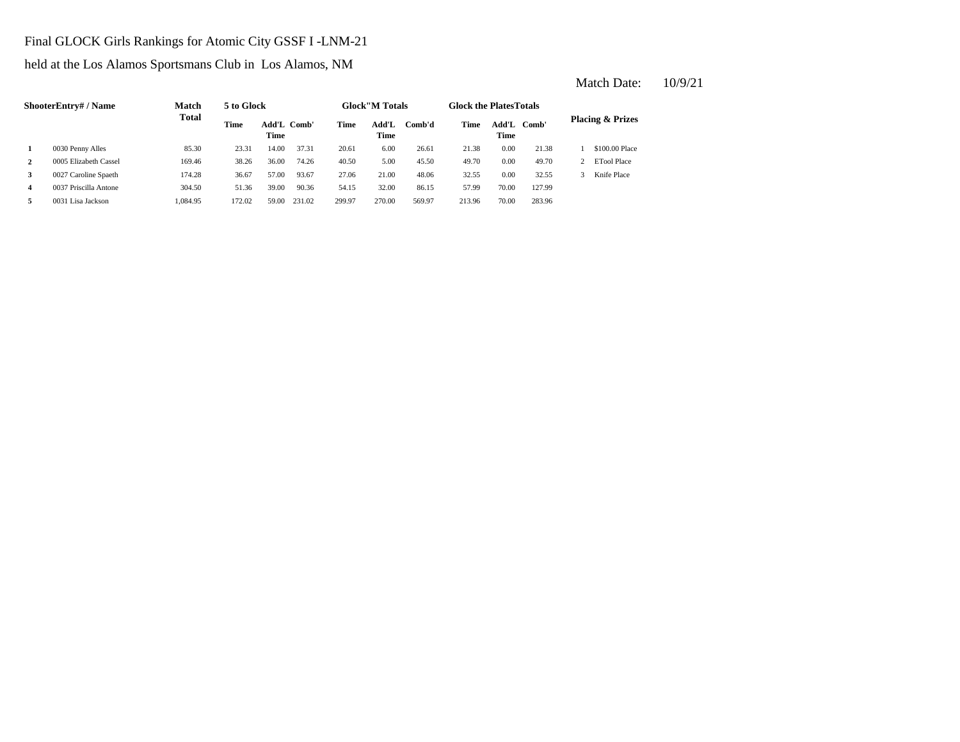## Final GLOCK Girls Rankings for Atomic City GSSF I -LNM-21

held at the Los Alamos Sportsmans Club in Los Alamos, NM

|                         | <b>ShooterEntry# / Name</b> | Match        | 5 to Glock  |                     |        |        | <b>Glock</b> "M Totals |        | <b>Glock the PlatesTotals</b> |               |        |                             |
|-------------------------|-----------------------------|--------------|-------------|---------------------|--------|--------|------------------------|--------|-------------------------------|---------------|--------|-----------------------------|
|                         |                             | <b>Total</b> | <b>Time</b> | Add'L Comb'<br>Time |        | Time   | Add'L<br>Time          | Comb'd | Time                          | Add'L<br>Time | Comb'  | <b>Placing &amp; Prizes</b> |
|                         | 0030 Penny Alles            | 85.30        | 23.31       | 14.00               | 37.31  | 20.61  | 6.00                   | 26.61  | 21.38                         | 0.00          | 21.38  | \$100.00 Place              |
| $\mathbf{2}$            | 0005 Elizabeth Cassel       | 169.46       | 38.26       | 36.00               | 74.26  | 40.50  | 5.00                   | 45.50  | 49.70                         | 0.00          | 49.70  | ETool Place                 |
| 3                       | 0027 Caroline Spaeth        | 174.28       | 36.67       | 57.00               | 93.67  | 27.06  | 21.00                  | 48.06  | 32.55                         | 0.00          | 32.55  | Knife Place                 |
| $\overline{\mathbf{4}}$ | 0037 Priscilla Antone       | 304.50       | 51.36       | 39.00               | 90.36  | 54.15  | 32.00                  | 86.15  | 57.99                         | 70.00         | 127.99 |                             |
| 5                       | 0031 Lisa Jackson           | 1.084.95     | 172.02      | 59.00               | 231.02 | 299.97 | 270.00                 | 569.97 | 213.96                        | 70.00         | 283.96 |                             |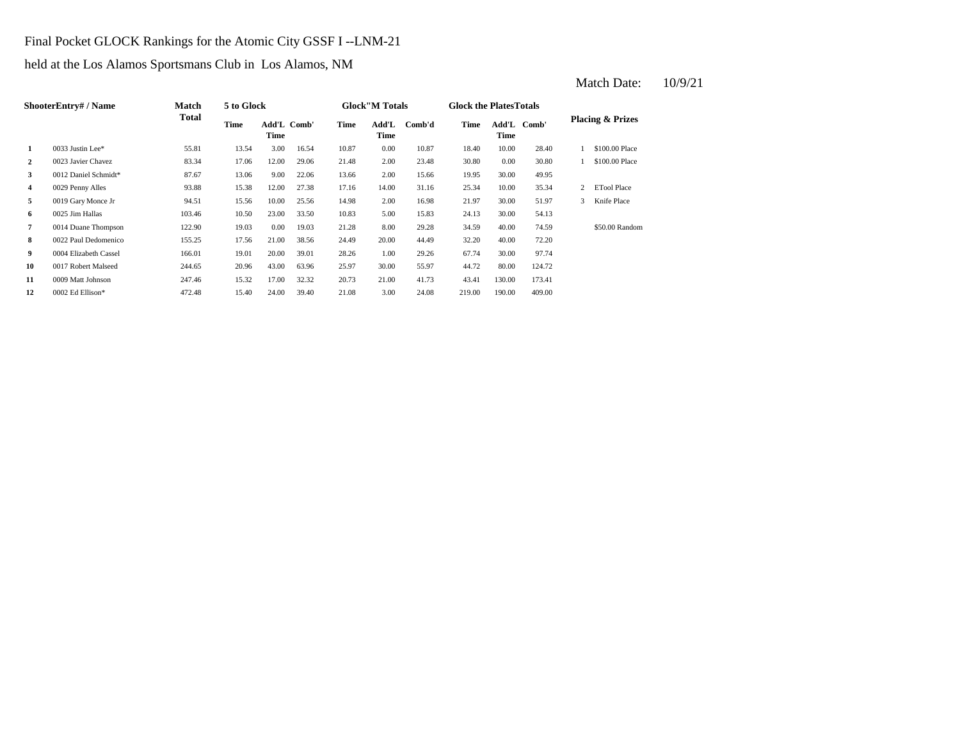## Final Pocket GLOCK Rankings for the Atomic City GSSF I --LNM-21

held at the Los Alamos Sportsmans Club in Los Alamos, NM

|                | <b>ShooterEntry#/Name</b> | Match  | 5 to Glock |                     |       |       | <b>Glock</b> "M Totals |        | <b>Glock the PlatesTotals</b> |        |             |   |                             |
|----------------|---------------------------|--------|------------|---------------------|-------|-------|------------------------|--------|-------------------------------|--------|-------------|---|-----------------------------|
|                |                           | Total  | Time       | Add'L Comb'<br>Time |       | Time  | Add'L<br>Time          | Comb'd | Time                          | Time   | Add'L Comb' |   | <b>Placing &amp; Prizes</b> |
| 1              | 0033 Justin Lee*          | 55.81  | 13.54      | 3.00                | 16.54 | 10.87 | 0.00                   | 10.87  | 18.40                         | 10.00  | 28.40       |   | \$100.00 Place              |
| 2              | 0023 Javier Chavez        | 83.34  | 17.06      | 12.00               | 29.06 | 21.48 | 2.00                   | 23.48  | 30.80                         | 0.00   | 30.80       |   | \$100.00 Place              |
| 3              | 0012 Daniel Schmidt*      | 87.67  | 13.06      | 9.00                | 22.06 | 13.66 | 2.00                   | 15.66  | 19.95                         | 30.00  | 49.95       |   |                             |
| 4              | 0029 Penny Alles          | 93.88  | 15.38      | 12.00               | 27.38 | 17.16 | 14.00                  | 31.16  | 25.34                         | 10.00  | 35.34       | 2 | <b>ETool Place</b>          |
| 5              | 0019 Gary Monce Jr        | 94.51  | 15.56      | 10.00               | 25.56 | 14.98 | 2.00                   | 16.98  | 21.97                         | 30.00  | 51.97       | 3 | Knife Place                 |
| 6              | 0025 Jim Hallas           | 103.46 | 10.50      | 23.00               | 33.50 | 10.83 | 5.00                   | 15.83  | 24.13                         | 30.00  | 54.13       |   |                             |
| $\overline{7}$ | 0014 Duane Thompson       | 122.90 | 19.03      | 0.00                | 19.03 | 21.28 | 8.00                   | 29.28  | 34.59                         | 40.00  | 74.59       |   | \$50.00 Random              |
| 8              | 0022 Paul Dedomenico      | 155.25 | 17.56      | 21.00               | 38.56 | 24.49 | 20.00                  | 44.49  | 32.20                         | 40.00  | 72.20       |   |                             |
| 9              | 0004 Elizabeth Cassel     | 166.01 | 19.01      | 20.00               | 39.01 | 28.26 | 1.00                   | 29.26  | 67.74                         | 30.00  | 97.74       |   |                             |
| 10             | 0017 Robert Malseed       | 244.65 | 20.96      | 43.00               | 63.96 | 25.97 | 30.00                  | 55.97  | 44.72                         | 80.00  | 124.72      |   |                             |
| 11             | 0009 Matt Johnson         | 247.46 | 15.32      | 17.00               | 32.32 | 20.73 | 21.00                  | 41.73  | 43.41                         | 130.00 | 173.41      |   |                             |
| 12             | 0002 Ed Ellison*          | 472.48 | 15.40      | 24.00               | 39.40 | 21.08 | 3.00                   | 24.08  | 219.00                        | 190.00 | 409.00      |   |                             |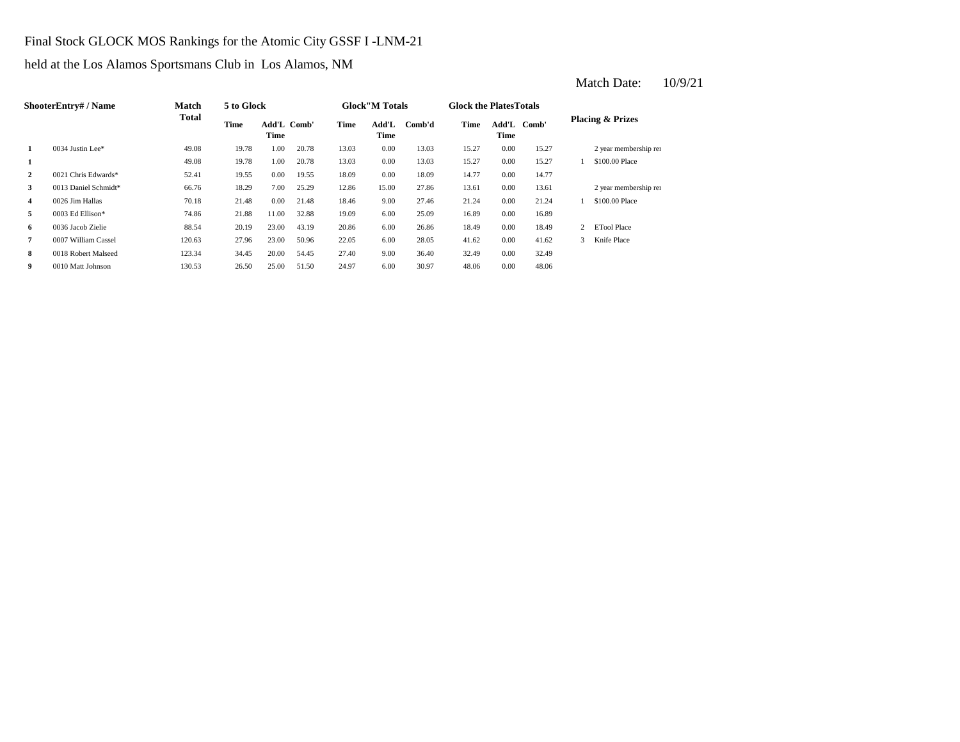## Final Stock GLOCK MOS Rankings for the Atomic City GSSF I -LNM-21

held at the Los Alamos Sportsmans Club in Los Alamos, NM

|                | <b>ShooterEntry#/Name</b> | Match        | 5 to Glock |                     |       |       | <b>Glock</b> "M Totals |        | <b>Glock the PlatesTotals</b> |               |       |               |                             |
|----------------|---------------------------|--------------|------------|---------------------|-------|-------|------------------------|--------|-------------------------------|---------------|-------|---------------|-----------------------------|
|                |                           | <b>Total</b> | Time       | Add'L Comb'<br>Time |       | Time  | Add'L<br>Time          | Comb'd | Time                          | Add'L<br>Time | Comb' |               | <b>Placing &amp; Prizes</b> |
| 1              | 0034 Justin Lee*          | 49.08        | 19.78      | 1.00                | 20.78 | 13.03 | 0.00                   | 13.03  | 15.27                         | 0.00          | 15.27 |               | 2 year membership ren       |
| 1              |                           | 49.08        | 19.78      | 1.00                | 20.78 | 13.03 | 0.00                   | 13.03  | 15.27                         | 0.00          | 15.27 |               | \$100,00 Place              |
| $\overline{2}$ | 0021 Chris Edwards*       | 52.41        | 19.55      | 0.00                | 19.55 | 18.09 | 0.00                   | 18.09  | 14.77                         | 0.00          | 14.77 |               |                             |
| 3              | 0013 Daniel Schmidt*      | 66.76        | 18.29      | 7.00                | 25.29 | 12.86 | 15.00                  | 27.86  | 13.61                         | 0.00          | 13.61 |               | 2 year membership ren       |
| 4              | 0026 Jim Hallas           | 70.18        | 21.48      | 0.00                | 21.48 | 18.46 | 9.00                   | 27.46  | 21.24                         | 0.00          | 21.24 |               | \$100,00 Place              |
| 5              | 0003 Ed Ellison*          | 74.86        | 21.88      | 11.00               | 32.88 | 19.09 | 6.00                   | 25.09  | 16.89                         | 0.00          | 16.89 |               |                             |
| 6              | 0036 Jacob Zielie         | 88.54        | 20.19      | 23.00               | 43.19 | 20.86 | 6.00                   | 26.86  | 18.49                         | 0.00          | 18.49 |               | <b>ETool Place</b>          |
| 7              | 0007 William Cassel       | 120.63       | 27.96      | 23.00               | 50.96 | 22.05 | 6.00                   | 28.05  | 41.62                         | 0.00          | 41.62 | $\mathcal{R}$ | Knife Place                 |
| 8              | 0018 Robert Malseed       | 123.34       | 34.45      | 20.00               | 54.45 | 27.40 | 9.00                   | 36.40  | 32.49                         | 0.00          | 32.49 |               |                             |
| 9              | 0010 Matt Johnson         | 130.53       | 26.50      | 25.00               | 51.50 | 24.97 | 6.00                   | 30.97  | 48.06                         | 0.00          | 48.06 |               |                             |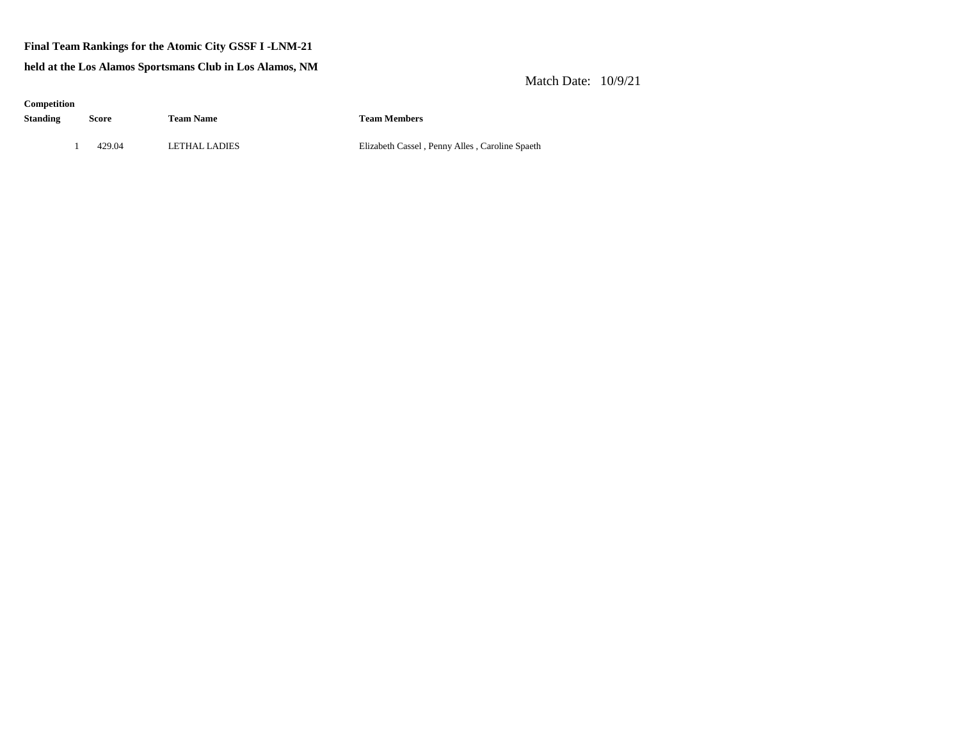### **Final Team Rankings for the Atomic City GSSF I -LNM-21**

**held at the Los Alamos Sportsmans Club in Los Alamos, NM**

### Match Date: 10/9/21

| Competition<br><b>Standing</b> | Score  | <b>Team Name</b> | <b>Team Members</b>   |
|--------------------------------|--------|------------------|-----------------------|
|                                | 429.04 | LETHAL LADIES    | Elizabeth Cassel, Pen |

nny Alles, Caroline Spaeth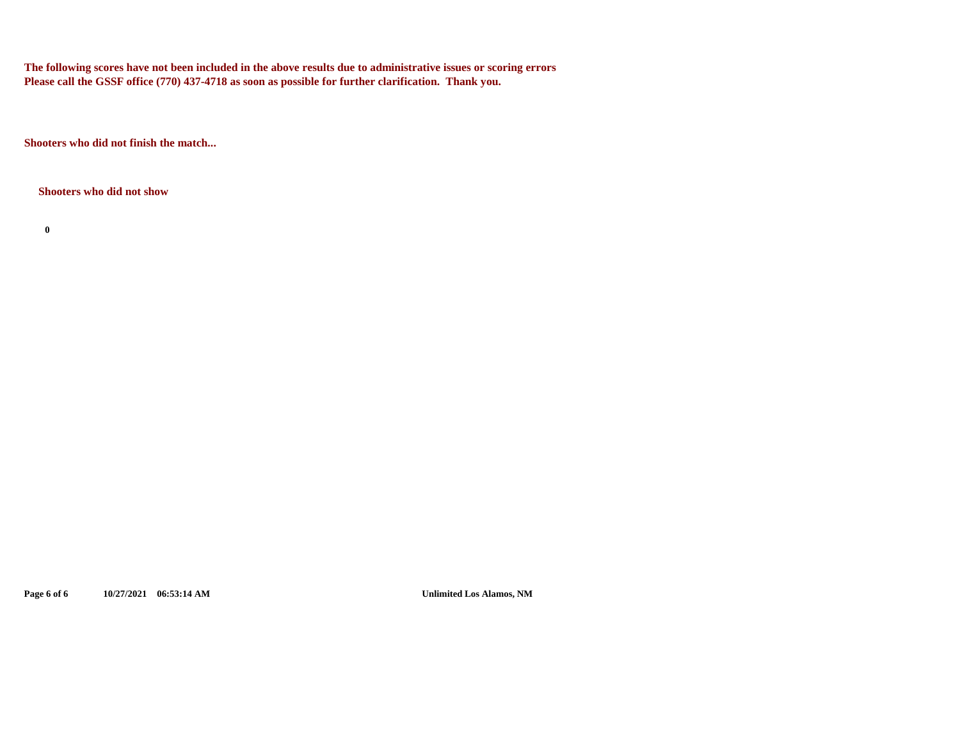**The following scores have not been included in the above results due to administrative issues or scoring errors Please call the GSSF office (770) 437-4718 as soon as possible for further clarification. Thank you.**

**Shooters who did not finish the match...**

**Shooters who did not show**

**0**

**Page 6 of 6 10/27/2021 06:53:14 AM Unlimited Los Alamos, NM**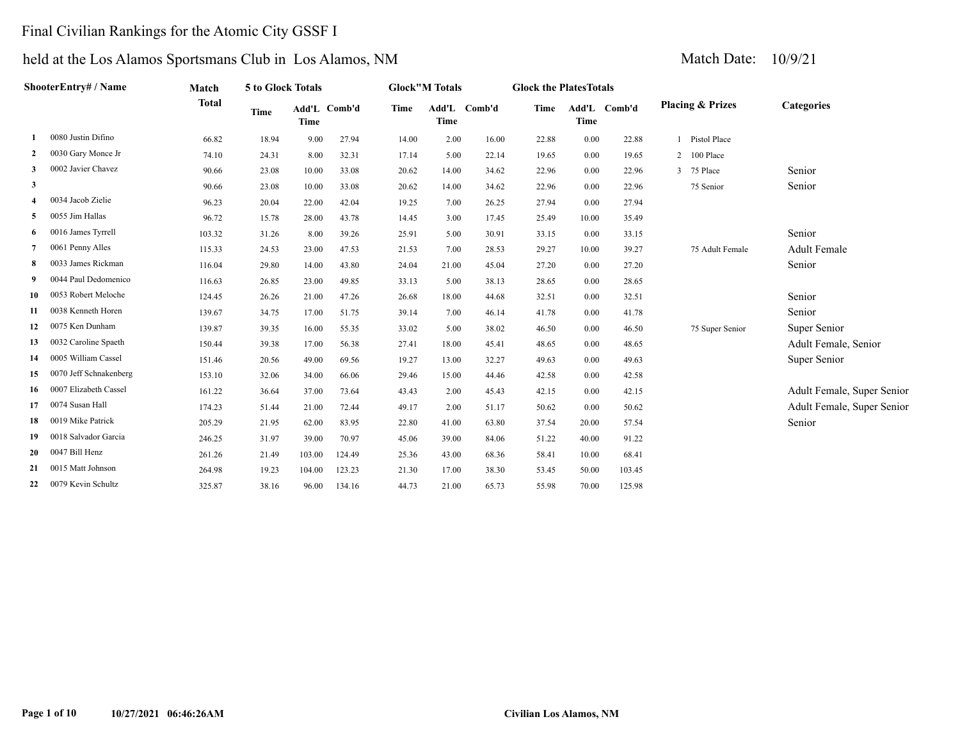# Final Civilian Rankings for the Atomic City GSSF I

|                         | ShooterEntry# / Name   | Match        | 5 to Glock Totals |             |              |       | <b>Glock"M Totals</b> |        | <b>Glock the PlatesTotals</b> |             |              |   |                             |                            |
|-------------------------|------------------------|--------------|-------------------|-------------|--------------|-------|-----------------------|--------|-------------------------------|-------------|--------------|---|-----------------------------|----------------------------|
|                         |                        | <b>Total</b> | <b>Time</b>       | <b>Time</b> | Add'L Comb'd | Time  | Add'L<br><b>Time</b>  | Comb'd | Time                          | <b>Time</b> | Add'L Comb'd |   | <b>Placing &amp; Prizes</b> | <b>Categories</b>          |
|                         | 0080 Justin Difino     | 66.82        | 18.94             | 9.00        | 27.94        | 14.00 | 2.00                  | 16.00  | 22.88                         | 0.00        | 22.88        |   | Pistol Place                |                            |
| $\mathbf{2}$            | 0030 Gary Monce Jr     | 74.10        | 24.31             | 8.00        | 32.31        | 17.14 | 5.00                  | 22.14  | 19.65                         | 0.00        | 19.65        | 2 | 100 Place                   |                            |
| 3                       | 0002 Javier Chavez     | 90.66        | 23.08             | 10.00       | 33.08        | 20.62 | 14.00                 | 34.62  | 22.96                         | 0.00        | 22.96        | 3 | 75 Place                    | Senior                     |
| $\mathbf{3}$            |                        | 90.66        | 23.08             | 10.00       | 33.08        | 20.62 | 14.00                 | 34.62  | 22.96                         | 0.00        | 22.96        |   | 75 Senior                   | Senior                     |
| $\overline{\mathbf{4}}$ | 0034 Jacob Zielie      | 96.23        | 20.04             | 22.00       | 42.04        | 19.25 | 7.00                  | 26.25  | 27.94                         | 0.00        | 27.94        |   |                             |                            |
| 5                       | 0055 Jim Hallas        | 96.72        | 15.78             | 28.00       | 43.78        | 14.45 | 3.00                  | 17.45  | 25.49                         | 10.00       | 35.49        |   |                             |                            |
| -6                      | 0016 James Tyrrell     | 103.32       | 31.26             | 8.00        | 39.26        | 25.91 | 5.00                  | 30.91  | 33.15                         | 0.00        | 33.15        |   |                             | Senior                     |
|                         | 0061 Penny Alles       | 115.33       | 24.53             | 23.00       | 47.53        | 21.53 | 7.00                  | 28.53  | 29.27                         | 10.00       | 39.27        |   | 75 Adult Female             | <b>Adult Female</b>        |
| 8                       | 0033 James Rickman     | 116.04       | 29.80             | 14.00       | 43.80        | 24.04 | 21.00                 | 45.04  | 27.20                         | 0.00        | 27.20        |   |                             | Senior                     |
| -9                      | 0044 Paul Dedomenico   | 116.63       | 26.85             | 23.00       | 49.85        | 33.13 | 5.00                  | 38.13  | 28.65                         | 0.00        | 28.65        |   |                             |                            |
| 10                      | 0053 Robert Meloche    | 124.45       | 26.26             | 21.00       | 47.26        | 26.68 | 18.00                 | 44.68  | 32.51                         | 0.00        | 32.51        |   |                             | Senior                     |
| 11                      | 0038 Kenneth Horen     | 139.67       | 34.75             | 17.00       | 51.75        | 39.14 | 7.00                  | 46.14  | 41.78                         | 0.00        | 41.78        |   |                             | Senior                     |
| 12                      | 0075 Ken Dunham        | 139.87       | 39.35             | 16.00       | 55.35        | 33.02 | 5.00                  | 38.02  | 46.50                         | 0.00        | 46.50        |   | 75 Super Senior             | Super Senior               |
| 13                      | 0032 Caroline Spaeth   | 150.44       | 39.38             | 17.00       | 56.38        | 27.41 | 18.00                 | 45.41  | 48.65                         | 0.00        | 48.65        |   |                             | Adult Female, Senior       |
| 14                      | 0005 William Cassel    | 151.46       | 20.56             | 49.00       | 69.56        | 19.27 | 13.00                 | 32.27  | 49.63                         | 0.00        | 49.63        |   |                             | Super Senior               |
| 15                      | 0070 Jeff Schnakenberg | 153.10       | 32.06             | 34.00       | 66.06        | 29.46 | 15.00                 | 44.46  | 42.58                         | 0.00        | 42.58        |   |                             |                            |
| 16                      | 0007 Elizabeth Cassel  | 161.22       | 36.64             | 37.00       | 73.64        | 43.43 | 2.00                  | 45.43  | 42.15                         | 0.00        | 42.15        |   |                             | Adult Female, Super Senior |
| 17                      | 0074 Susan Hall        | 174.23       | 51.44             | 21.00       | 72.44        | 49.17 | 2.00                  | 51.17  | 50.62                         | 0.00        | 50.62        |   |                             | Adult Female, Super Senior |
| 18                      | 0019 Mike Patrick      | 205.29       | 21.95             | 62.00       | 83.95        | 22.80 | 41.00                 | 63.80  | 37.54                         | 20.00       | 57.54        |   |                             | Senior                     |
| 19                      | 0018 Salvador Garcia   | 246.25       | 31.97             | 39.00       | 70.97        | 45.06 | 39.00                 | 84.06  | 51.22                         | 40.00       | 91.22        |   |                             |                            |
| 20                      | 0047 Bill Henz         | 261.26       | 21.49             | 103.00      | 124.49       | 25.36 | 43.00                 | 68.36  | 58.41                         | 10.00       | 68.41        |   |                             |                            |
| 21                      | 0015 Matt Johnson      | 264.98       | 19.23             | 104.00      | 123.23       | 21.30 | 17.00                 | 38.30  | 53.45                         | 50.00       | 103.45       |   |                             |                            |
| 22                      | 0079 Kevin Schultz     | 325.87       | 38.16             | 96.00       | 134.16       | 44.73 | 21.00                 | 65.73  | 55.98                         | 70.00       | 125.98       |   |                             |                            |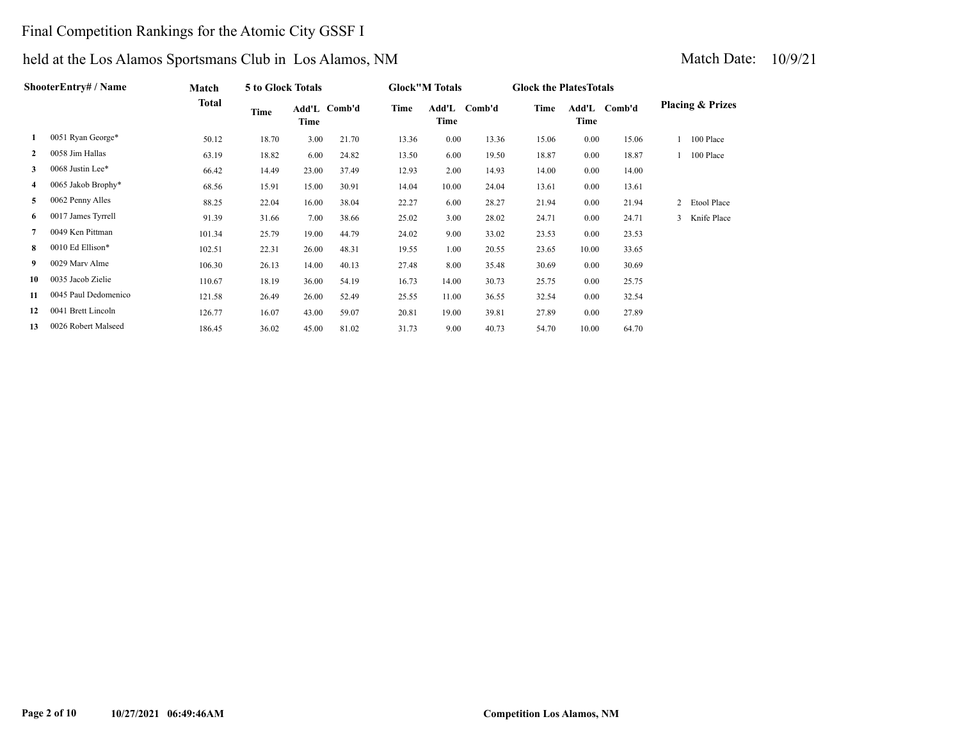# Final Competition Rankings for the Atomic City GSSF I

|    | ShooterEntry# / Name | Match  | 5 to Glock Totals |       |              |       | <b>Glock"M Totals</b> |              | <b>Glock the Plates Totals</b> |               |        |   |                             |
|----|----------------------|--------|-------------------|-------|--------------|-------|-----------------------|--------------|--------------------------------|---------------|--------|---|-----------------------------|
|    |                      | Total  | Time              | Time  | Add'L Comb'd | Time  | Time                  | Add'L Comb'd | Time                           | Add'L<br>Time | Comb'd |   | <b>Placing &amp; Prizes</b> |
| 1  | 0051 Ryan George*    | 50.12  | 18.70             | 3.00  | 21.70        | 13.36 | 0.00                  | 13.36        | 15.06                          | 0.00          | 15.06  |   | 100 Place                   |
| 2  | 0058 Jim Hallas      | 63.19  | 18.82             | 6.00  | 24.82        | 13.50 | 6.00                  | 19.50        | 18.87                          | 0.00          | 18.87  |   | 100 Place                   |
| 3  | 0068 Justin Lee*     | 66.42  | 14.49             | 23.00 | 37.49        | 12.93 | 2.00                  | 14.93        | 14.00                          | 0.00          | 14.00  |   |                             |
| 4  | 0065 Jakob Brophy*   | 68.56  | 15.91             | 15.00 | 30.91        | 14.04 | 10.00                 | 24.04        | 13.61                          | 0.00          | 13.61  |   |                             |
| 5  | 0062 Penny Alles     | 88.25  | 22.04             | 16.00 | 38.04        | 22.27 | 6.00                  | 28.27        | 21.94                          | 0.00          | 21.94  | 2 | Etool Place                 |
| 6  | 0017 James Tyrrell   | 91.39  | 31.66             | 7.00  | 38.66        | 25.02 | 3.00                  | 28.02        | 24.71                          | 0.00          | 24.71  | 3 | Knife Place                 |
|    | 0049 Ken Pittman     | 101.34 | 25.79             | 19.00 | 44.79        | 24.02 | 9.00                  | 33.02        | 23.53                          | 0.00          | 23.53  |   |                             |
| 8  | 0010 Ed Ellison*     | 102.51 | 22.31             | 26.00 | 48.31        | 19.55 | 1.00                  | 20.55        | 23.65                          | 10.00         | 33.65  |   |                             |
| 9. | 0029 Mary Alme       | 106.30 | 26.13             | 14.00 | 40.13        | 27.48 | 8.00                  | 35.48        | 30.69                          | 0.00          | 30.69  |   |                             |
| 10 | 0035 Jacob Zielie    | 110.67 | 18.19             | 36.00 | 54.19        | 16.73 | 14.00                 | 30.73        | 25.75                          | 0.00          | 25.75  |   |                             |
| 11 | 0045 Paul Dedomenico | 121.58 | 26.49             | 26.00 | 52.49        | 25.55 | 11.00                 | 36.55        | 32.54                          | 0.00          | 32.54  |   |                             |
| 12 | 0041 Brett Lincoln   | 126.77 | 16.07             | 43.00 | 59.07        | 20.81 | 19.00                 | 39.81        | 27.89                          | 0.00          | 27.89  |   |                             |
| 13 | 0026 Robert Malseed  | 186.45 | 36.02             | 45.00 | 81.02        | 31.73 | 9.00                  | 40.73        | 54.70                          | 10.00         | 64.70  |   |                             |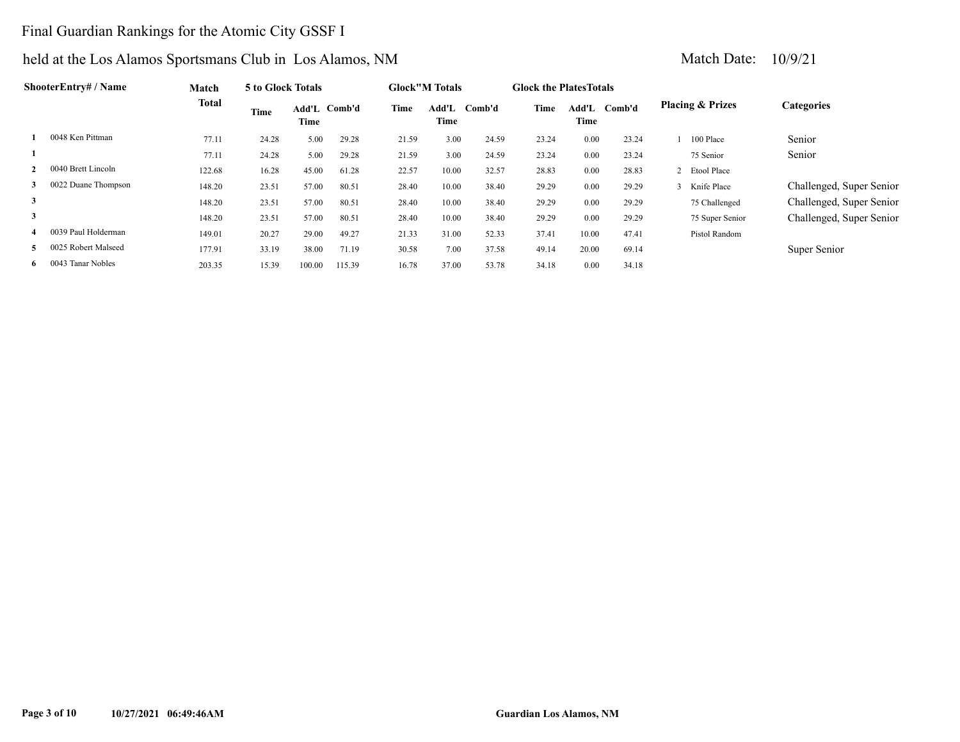# Final Guardian Rankings for the Atomic City GSSF I

| ShooterEntrv# / Name      | Match  | 5 to Glock Totals |                      |        |       | <b>Glock"M Totals</b> |        | <b>Glock the Plates Totals</b> |             |              |                             |                          |
|---------------------------|--------|-------------------|----------------------|--------|-------|-----------------------|--------|--------------------------------|-------------|--------------|-----------------------------|--------------------------|
|                           | Total  | Time              | Add'L Comb'd<br>Time |        | Time  | Add'L<br>Time         | Comb'd | Time                           | <b>Time</b> | Add'L Comb'd | <b>Placing &amp; Prizes</b> | <b>Categories</b>        |
| 0048 Ken Pittman          | 77.11  | 24.28             | 5.00                 | 29.28  | 21.59 | 3.00                  | 24.59  | 23.24                          | 0.00        | 23.24        | 100 Place                   | Senior                   |
|                           | 77.11  | 24.28             | 5.00                 | 29.28  | 21.59 | 3.00                  | 24.59  | 23.24                          | 0.00        | 23.24        | 75 Senior                   | Senior                   |
| 0040 Brett Lincoln        | 122.68 | 16.28             | 45.00                | 61.28  | 22.57 | 10.00                 | 32.57  | 28.83                          | 0.00        | 28.83        | 2 Etool Place               |                          |
| 0022 Duane Thompson<br>3  | 148.20 | 23.51             | 57.00                | 80.51  | 28.40 | 10.00                 | 38.40  | 29.29                          | 0.00        | 29.29        | 3 Knife Place               | Challenged, Super Senior |
| 3                         | 148.20 | 23.51             | 57.00                | 80.51  | 28.40 | 10.00                 | 38.40  | 29.29                          | 0.00        | 29.29        | 75 Challenged               | Challenged, Super Senior |
| 3                         | 148.20 | 23.51             | 57.00                | 80.51  | 28.40 | 10.00                 | 38.40  | 29.29                          | 0.00        | 29.29        | 75 Super Senior             | Challenged, Super Senior |
| 0039 Paul Holderman       | 149.01 | 20.27             | 29.00                | 49.27  | 21.33 | 31.00                 | 52.33  | 37.41                          | 10.00       | 47.41        | Pistol Random               |                          |
| 0025 Robert Malseed<br>5. | 177.91 | 33.19             | 38.00                | 71.19  | 30.58 | 7.00                  | 37.58  | 49.14                          | 20.00       | 69.14        |                             | Super Senior             |
| 6 0043 Tanar Nobles       | 203.35 | 15.39             | 100.00               | 115.39 | 16.78 | 37.00                 | 53.78  | 34.18                          | 0.00        | 34.18        |                             |                          |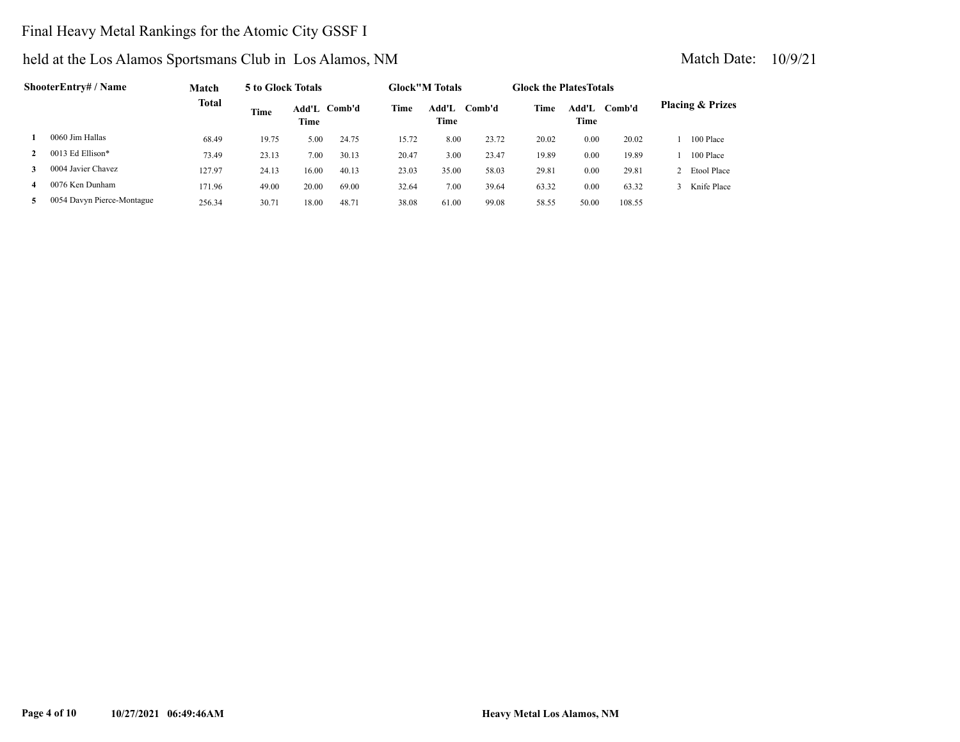# Final Heavy Metal Rankings for the Atomic City GSSF I

|   | ShooterEntry# / Name       | Match        | 5 to Glock Totals |               |        |       | <b>Glock</b> "M Totals |        | <b>Glock the Plates Totals</b> |               |        |                             |
|---|----------------------------|--------------|-------------------|---------------|--------|-------|------------------------|--------|--------------------------------|---------------|--------|-----------------------------|
|   |                            | <b>Total</b> | Time              | Add'L<br>Time | Comb'd | Time  | Add'L<br>Time          | Comb'd | Time                           | Add'L<br>Time | Comb'd | <b>Placing &amp; Prizes</b> |
|   | 0060 Jim Hallas            | 68.49        | 19.75             | 5.00          | 24.75  | 15.72 | 8.00                   | 23.72  | 20.02                          | 0.00          | 20.02  | 100 Place                   |
|   | 0013 Ed Ellison*           | 73.49        | 23.13             | 7.00          | 30.13  | 20.47 | 3.00                   | 23.47  | 19.89                          | 0.00          | 19.89  | 100 Place                   |
| 3 | 0004 Javier Chavez         | 127.97       | 24.13             | 16.00         | 40.13  | 23.03 | 35.00                  | 58.03  | 29.81                          | 0.00          | 29.81  | Etool Place                 |
| 4 | 0076 Ken Dunham            | 171.96       | 49.00             | 20.00         | 69.00  | 32.64 | 7.00                   | 39.64  | 63.32                          | 0.00          | 63.32  | Knife Place                 |
| 5 | 0054 Davyn Pierce-Montague | 256.34       | 30.71             | 18.00         | 48.71  | 38.08 | 61.00                  | 99.08  | 58.55                          | 50.00         | 108.55 |                             |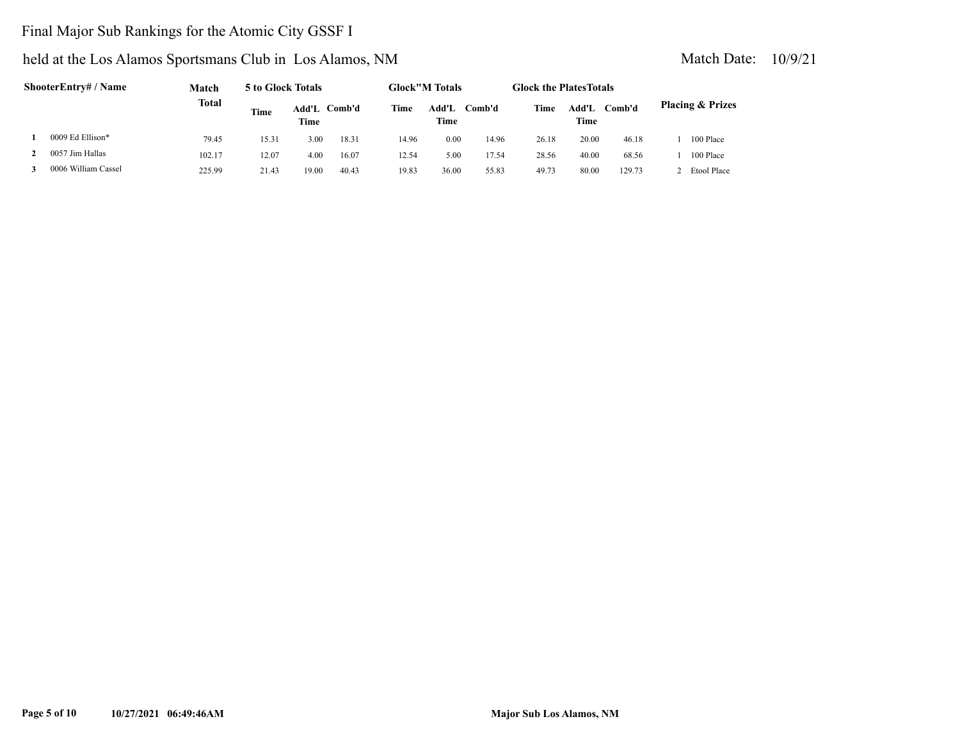# Final Major Sub Rankings for the Atomic City GSSF I

| ShooterEntry# / Name | Match        | 5 to Glock Totals |               |        |       | <b>Glock</b> "M Totals |        | <b>Glock the Plates Totals</b> |               |        |                             |
|----------------------|--------------|-------------------|---------------|--------|-------|------------------------|--------|--------------------------------|---------------|--------|-----------------------------|
|                      | <b>Total</b> | Time              | Add'L<br>Time | Comb'd | Time  | Add'L<br>Time          | Comb'd | Time                           | Add'L<br>Time | Comb'd | <b>Placing &amp; Prizes</b> |
| 0009 Ed Ellison*     | 79.45        | 15.31             | 3.00          | 18.31  | 14.96 | 0.00                   | 14.96  | 26.18                          | 20.00         | 46.18  | 100 Place                   |
| 0057 Jim Hallas      | 102.17       | 12.07             | 4.00          | 16.07  | 12.54 | 5.00                   | 17.54  | 28.56                          | 40.00         | 68.56  | 100 Place                   |
| 0006 William Cassel  | 225.99       | 21.43             | 19.00         | 40.43  | 19.83 | 36.00                  | 55.83  | 49.73                          | 80.00         | 129.73 | 2 Etool Place               |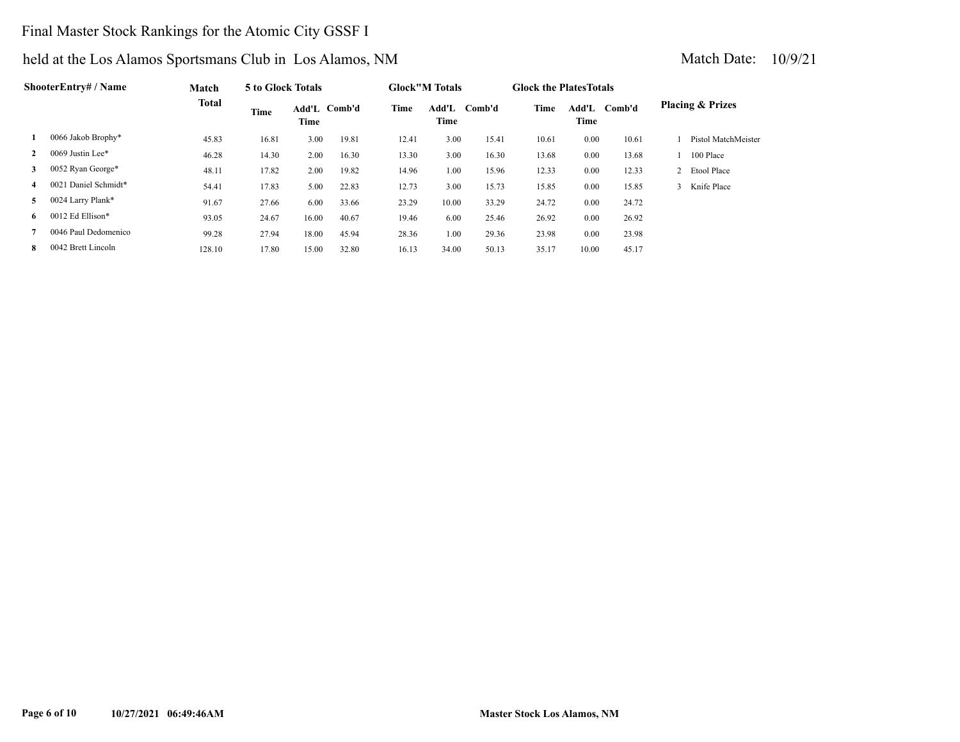# Final Master Stock Rankings for the Atomic City GSSF I

|    | <b>ShooterEntry# / Name</b> | Match        | 5 to Glock Totals |       |              |       | <b>Glock</b> "M Totals |        | <b>Glock the Plates Totals</b> |               |        |                             |
|----|-----------------------------|--------------|-------------------|-------|--------------|-------|------------------------|--------|--------------------------------|---------------|--------|-----------------------------|
|    |                             | <b>Total</b> | Time              | Time  | Add'L Comb'd | Time  | Add'L<br>Time          | Comb'd | Time                           | Add'L<br>Time | Comb'd | <b>Placing &amp; Prizes</b> |
| 1  | 0066 Jakob Brophy*          | 45.83        | 16.81             | 3.00  | 19.81        | 12.41 | 3.00                   | 15.41  | 10.61                          | 0.00          | 10.61  | Pistol MatchMeister         |
|    | 0069 Justin Lee*            | 46.28        | 14.30             | 2.00  | 16.30        | 13.30 | 3.00                   | 16.30  | 13.68                          | 0.00          | 13.68  | 100 Place                   |
| 3  | 0052 Ryan George*           | 48.11        | 17.82             | 2.00  | 19.82        | 14.96 | 1.00                   | 15.96  | 12.33                          | 0.00          | 12.33  | 2 Etool Place               |
| 4  | 0021 Daniel Schmidt*        | 54.41        | 17.83             | 5.00  | 22.83        | 12.73 | 3.00                   | 15.73  | 15.85                          | 0.00          | 15.85  | 3 Knife Place               |
| 5. | 0024 Larry Plank*           | 91.67        | 27.66             | 6.00  | 33.66        | 23.29 | 10.00                  | 33.29  | 24.72                          | 0.00          | 24.72  |                             |
| 6. | 0012 Ed Ellison*            | 93.05        | 24.67             | 16.00 | 40.67        | 19.46 | 6.00                   | 25.46  | 26.92                          | 0.00          | 26.92  |                             |
|    | 0046 Paul Dedomenico        | 99.28        | 27.94             | 18.00 | 45.94        | 28.36 | 1.00                   | 29.36  | 23.98                          | 0.00          | 23.98  |                             |
| 8. | 0042 Brett Lincoln          | 128.10       | 17.80             | 15.00 | 32.80        | 16.13 | 34.00                  | 50.13  | 35.17                          | 10.00         | 45.17  |                             |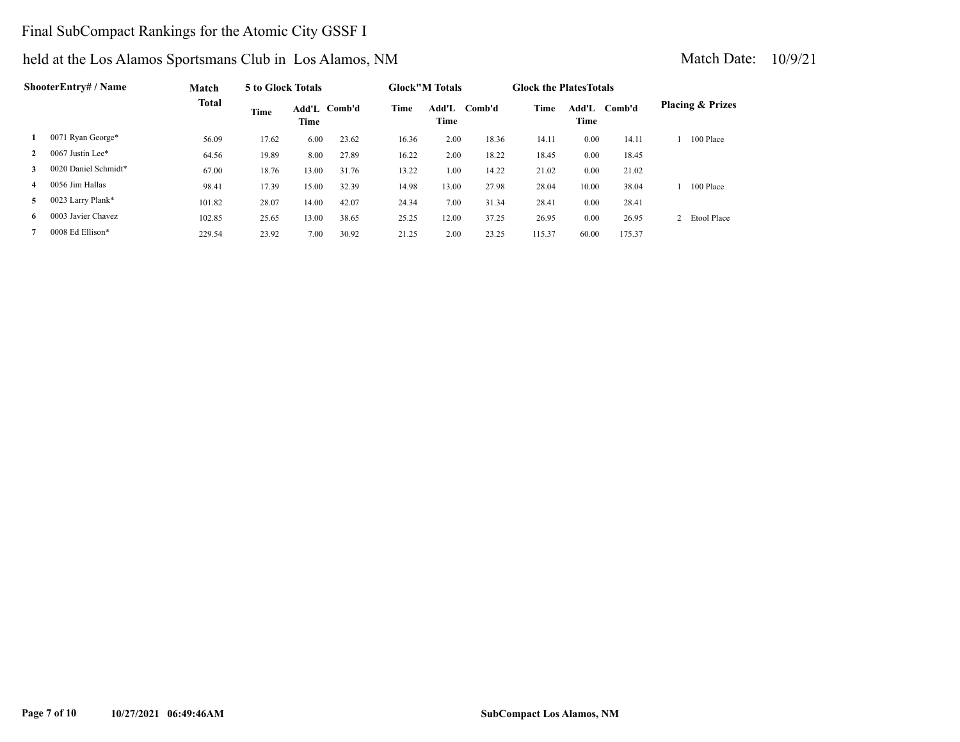# Final SubCompact Rankings for the Atomic City GSSF I

|              | ShooterEntry# / Name | Match        | 5 to Glock Totals |               |        |       | <b>Glock</b> "M Totals |        | <b>Glock the Plates Totals</b> |               |        |                             |
|--------------|----------------------|--------------|-------------------|---------------|--------|-------|------------------------|--------|--------------------------------|---------------|--------|-----------------------------|
|              |                      | <b>Total</b> | Time              | Add'L<br>Time | Comb'd | Time  | Add'L<br>Time          | Comb'd | Time                           | Add'L<br>Time | Comb'd | <b>Placing &amp; Prizes</b> |
|              | 0071 Ryan George*    | 56.09        | 17.62             | 6.00          | 23.62  | 16.36 | 2.00                   | 18.36  | 14.11                          | 0.00          | 14.11  | 100 Place                   |
| $\mathbf{2}$ | 0067 Justin Lee*     | 64.56        | 19.89             | 8.00          | 27.89  | 16.22 | 2.00                   | 18.22  | 18.45                          | 0.00          | 18.45  |                             |
| 3            | 0020 Daniel Schmidt* | 67.00        | 18.76             | 13.00         | 31.76  | 13.22 | 1.00                   | 14.22  | 21.02                          | 0.00          | 21.02  |                             |
| 4            | 0056 Jim Hallas      | 98.41        | 17.39             | 15.00         | 32.39  | 14.98 | 13.00                  | 27.98  | 28.04                          | 10.00         | 38.04  | 100 Place                   |
| 5            | 0023 Larry Plank*    | 101.82       | 28.07             | 14.00         | 42.07  | 24.34 | 7.00                   | 31.34  | 28.41                          | 0.00          | 28.41  |                             |
| 6.           | 0003 Javier Chavez   | 102.85       | 25.65             | 13.00         | 38.65  | 25.25 | 12.00                  | 37.25  | 26.95                          | 0.00          | 26.95  | Etool Place                 |
|              | 0008 Ed Ellison*     | 229.54       | 23.92             | 7.00          | 30.92  | 21.25 | 2.00                   | 23.25  | 115.37                         | 60.00         | 175.37 |                             |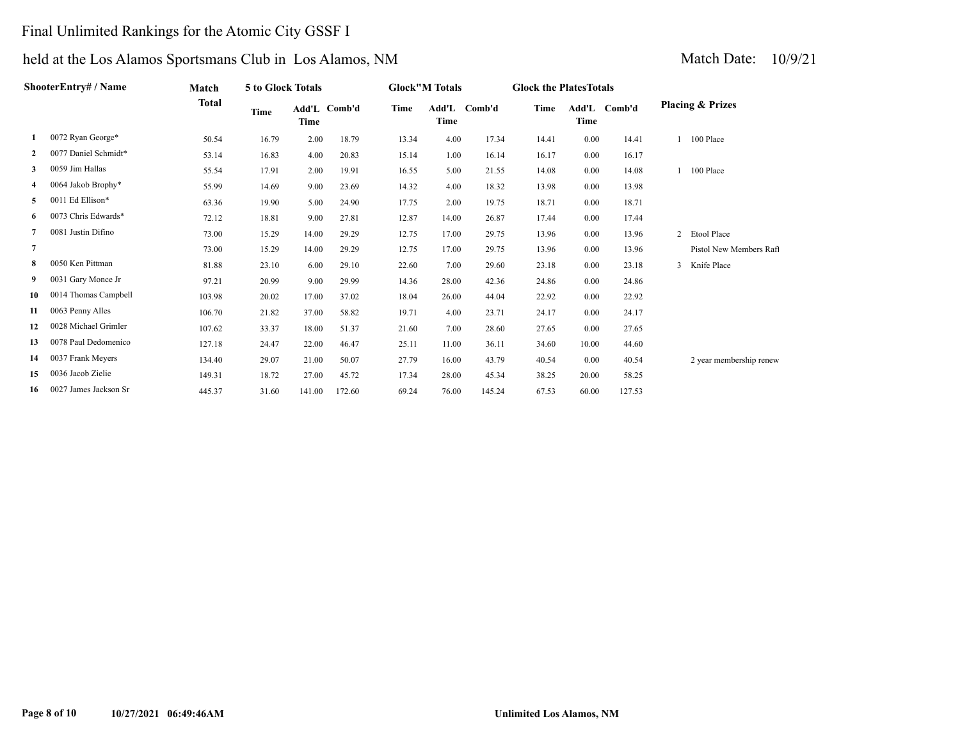# Final Unlimited Rankings for the Atomic City GSSF I

| ShooterEntry# / Name |                       | Match        | 5 to Glock Totals |                      |        | <b>Glock"M Totals</b> |                      |        | <b>Glock the Plates Totals</b> |       |              |                             |
|----------------------|-----------------------|--------------|-------------------|----------------------|--------|-----------------------|----------------------|--------|--------------------------------|-------|--------------|-----------------------------|
|                      |                       | <b>Total</b> | Time              | Add'L Comb'd<br>Time |        | Time                  | Add'L Comb'd<br>Time |        | Time                           | Time  | Add'L Comb'd | <b>Placing &amp; Prizes</b> |
| 1                    | 0072 Ryan George*     | 50.54        | 16.79             | 2.00                 | 18.79  | 13.34                 | 4.00                 | 17.34  | 14.41                          | 0.00  | 14.41        | 100 Place                   |
| $\mathbf{2}$         | 0077 Daniel Schmidt*  | 53.14        | 16.83             | 4.00                 | 20.83  | 15.14                 | 1.00                 | 16.14  | 16.17                          | 0.00  | 16.17        |                             |
| 3                    | 0059 Jim Hallas       | 55.54        | 17.91             | 2.00                 | 19.91  | 16.55                 | 5.00                 | 21.55  | 14.08                          | 0.00  | 14.08        | 100 Place                   |
| 4                    | 0064 Jakob Brophy*    | 55.99        | 14.69             | 9.00                 | 23.69  | 14.32                 | 4.00                 | 18.32  | 13.98                          | 0.00  | 13.98        |                             |
| 5                    | 0011 Ed Ellison*      | 63.36        | 19.90             | 5.00                 | 24.90  | 17.75                 | 2.00                 | 19.75  | 18.71                          | 0.00  | 18.71        |                             |
| 6                    | 0073 Chris Edwards*   | 72.12        | 18.81             | 9.00                 | 27.81  | 12.87                 | 14.00                | 26.87  | 17.44                          | 0.00  | 17.44        |                             |
|                      | 0081 Justin Difino    | 73.00        | 15.29             | 14.00                | 29.29  | 12.75                 | 17.00                | 29.75  | 13.96                          | 0.00  | 13.96        | 2 Etool Place               |
| $\overline{7}$       |                       | 73.00        | 15.29             | 14.00                | 29.29  | 12.75                 | 17.00                | 29.75  | 13.96                          | 0.00  | 13.96        | Pistol New Members Raft     |
| 8                    | 0050 Ken Pittman      | 81.88        | 23.10             | 6.00                 | 29.10  | 22.60                 | 7.00                 | 29.60  | 23.18                          | 0.00  | 23.18        | 3 Knife Place               |
| 9                    | 0031 Gary Monce Jr    | 97.21        | 20.99             | 9.00                 | 29.99  | 14.36                 | 28.00                | 42.36  | 24.86                          | 0.00  | 24.86        |                             |
| 10                   | 0014 Thomas Campbell  | 103.98       | 20.02             | 17.00                | 37.02  | 18.04                 | 26.00                | 44.04  | 22.92                          | 0.00  | 22.92        |                             |
| 11                   | 0063 Penny Alles      | 106.70       | 21.82             | 37.00                | 58.82  | 19.71                 | 4.00                 | 23.71  | 24.17                          | 0.00  | 24.17        |                             |
| 12                   | 0028 Michael Grimler  | 107.62       | 33.37             | 18.00                | 51.37  | 21.60                 | 7.00                 | 28.60  | 27.65                          | 0.00  | 27.65        |                             |
| 13                   | 0078 Paul Dedomenico  | 127.18       | 24.47             | 22.00                | 46.47  | 25.11                 | 11.00                | 36.11  | 34.60                          | 10.00 | 44.60        |                             |
| 14                   | 0037 Frank Meyers     | 134.40       | 29.07             | 21.00                | 50.07  | 27.79                 | 16.00                | 43.79  | 40.54                          | 0.00  | 40.54        | 2 year membership renew     |
| 15                   | 0036 Jacob Zielie     | 149.31       | 18.72             | 27.00                | 45.72  | 17.34                 | 28.00                | 45.34  | 38.25                          | 20.00 | 58.25        |                             |
| 16                   | 0027 James Jackson Sr | 445.37       | 31.60             | 141.00               | 172.60 | 69.24                 | 76.00                | 145.24 | 67.53                          | 60.00 | 127.53       |                             |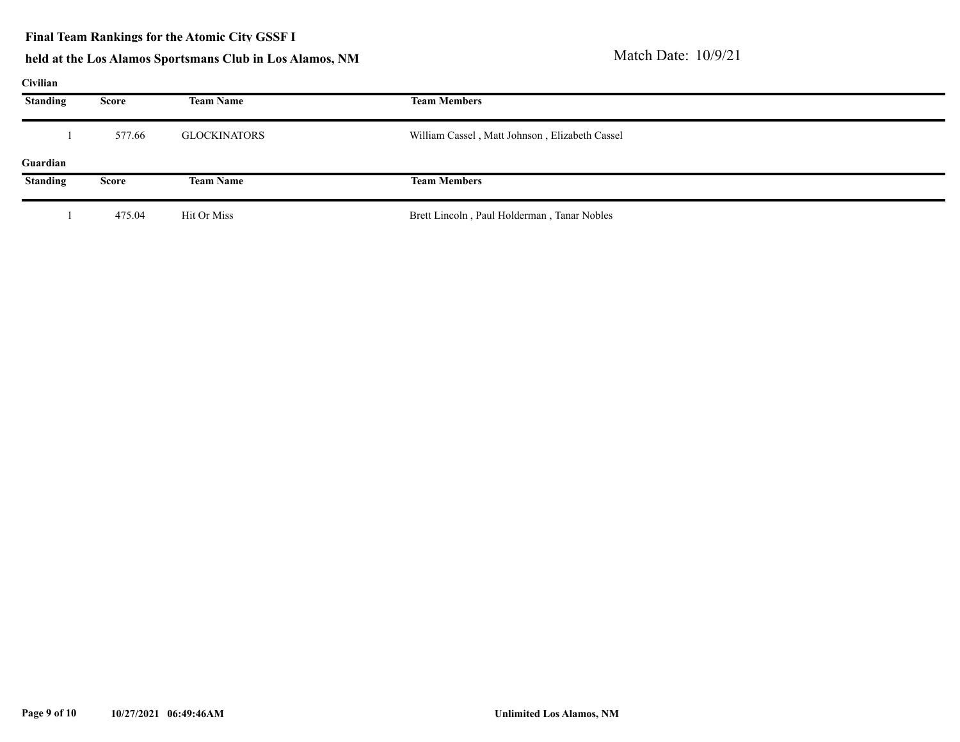### **Final Team Rankings for the Atomic City GSSF I**

# held at the Los Alamos Sportsmans Club in Los Alamos, NM Match Date: 10/9/21

### **Civilian**

| $\mathbf{u}$    |        |                  |                                                |  |  |  |  |  |  |
|-----------------|--------|------------------|------------------------------------------------|--|--|--|--|--|--|
| <b>Standing</b> | Score  | <b>Team Name</b> | <b>Team Members</b>                            |  |  |  |  |  |  |
|                 | 577.66 | GLOCKINATORS     | William Cassel, Matt Johnson, Elizabeth Cassel |  |  |  |  |  |  |
| Guardian        |        |                  |                                                |  |  |  |  |  |  |
| <b>Standing</b> | Score  | <b>Team Name</b> | <b>Team Members</b>                            |  |  |  |  |  |  |
|                 | 475.04 | Hit Or Miss      | Brett Lincoln, Paul Holderman, Tanar Nobles    |  |  |  |  |  |  |